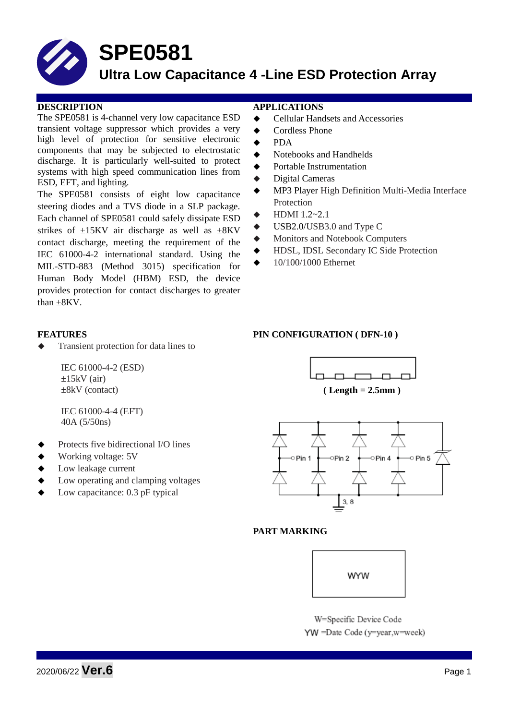

# **SPE0581**

### **Ultra Low Capacitance 4 -Line ESD Protection Array**

The SPE0581 is 4-channel very low capacitance ESD transient voltage suppressor which provides a very high level of protection for sensitive electronic components that may be subjected to electrostatic discharge. It is particularly well-suited to protect systems with high speed communication lines from ESD, EFT, and lighting.

The SPE0581 consists of eight low capacitance steering diodes and a TVS diode in a SLP package. Each channel of SPE0581 could safely dissipate ESD strikes of  $\pm 15$ KV air discharge as well as  $\pm 8$ KV contact discharge, meeting the requirement of the IEC 61000-4-2 international standard. Using the MIL-STD-883 (Method 3015) specification for Human Body Model (HBM) ESD, the device provides protection for contact discharges to greater than  $+8KV$ .

Transient protection for data lines to

IEC 61000-4-2 (ESD)  $\pm 15$ kV (air) ±8kV (contact)

IEC 61000-4-4 (EFT) 40A (5/50ns)

- Protects five bidirectional I/O lines
- Working voltage: 5V
- Low leakage current
- Low operating and clamping voltages
- Low capacitance: 0.3 pF typical

### **DESCRIPTION APPLICATIONS**

- **←** Cellular Handsets and Accessories
- ◆ Cordless Phone
- PDA
- Notebooks and Handhelds
- Portable Instrumentation
- Digital Cameras
- MP3 Player High Definition Multi-Media Interface Protection
- HDMI 1.2~2.1
- $\blacklozenge$  USB2.0/USB3.0 and Type C
- Monitors and Notebook Computers
- HDSL, IDSL Secondary IC Side Protection
- 10/100/1000 Ethernet

### **FEATURES PIN CONFIGURATION ( DFN-10 )**





### **PART MARKING**



W=Specific Device Code YW =Date Code (y=year,w=week)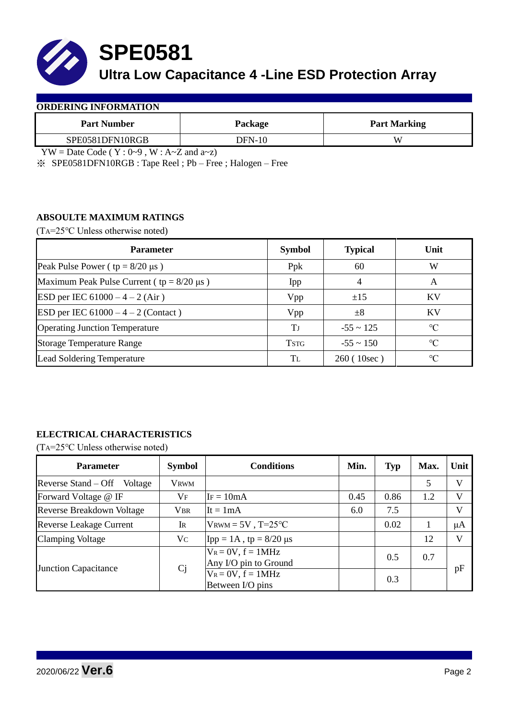

# **SPE0581**

## **Ultra Low Capacitance 4 -Line ESD Protection Array**

| <b>Part Number</b> | Package  | <b>Part Marking</b> |  |  |
|--------------------|----------|---------------------|--|--|
| SPE0581DFN10RGB    | $DFN-10$ | W                   |  |  |

 $YW = Date Code (Y : 0~9, W : A~Z and a~z)$ 

※ SPE0581DFN10RGB : Tape Reel ; Pb – Free ; Halogen – Free

### **ABSOULTE MAXIMUM RATINGS**

(TA=25℃ Unless otherwise noted)

| <b>Parameter</b>                                 | <b>Symbol</b> | <b>Typical</b> | Unit            |
|--------------------------------------------------|---------------|----------------|-----------------|
| Peak Pulse Power ( $tp = 8/20 \mu s$ )           | Ppk           | 60             | W               |
| Maximum Peak Pulse Current ( $tp = 8/20 \mu s$ ) | Ipp           |                | A               |
| ESD per IEC $61000 - 4 - 2$ (Air)                | Vpp           | ±15            | <b>KV</b>       |
| ESD per IEC $61000 - 4 - 2$ (Contact)            | Vpp           | $\pm 8$        | KV              |
| <b>Operating Junction Temperature</b>            | Tі            | $-55 \sim 125$ | $\rm ^{\circ}C$ |
| <b>Storage Temperature Range</b>                 | <b>TSTG</b>   | $-55 \sim 150$ | $\rm ^{\circ}C$ |
| Lead Soldering Temperature                       | Tī.           | 260(10sec)     | $\rm ^{\circ}C$ |

### **ELECTRICAL CHARACTERISTICS**

(TA=25℃ Unless otherwise noted)

| <b>Parameter</b>                 | <b>Symbol</b> | <b>Conditions</b>                                | Min. | <b>Typ</b> | Max. | Unit |
|----------------------------------|---------------|--------------------------------------------------|------|------------|------|------|
| Reverse Stand – Off<br>Voltage   | VRWM          |                                                  |      |            | 5    | V    |
| Forward Voltage @ IF             | $V_{\rm F}$   | $IF = 10mA$                                      | 0.45 | 0.86       | 1.2  | V    |
| <b>Reverse Breakdown Voltage</b> | <b>VBR</b>    | It = $1mA$                                       | 6.0  | 7.5        |      | V    |
| <b>Reverse Leakage Current</b>   | <b>IR</b>     | $V_{\text{RWM}} = 5V$ , T=25°C                   |      | 0.02       |      | μA   |
| <b>Clamping Voltage</b>          | Vc            | $Ipp = 1A$ , tp = 8/20 μs                        |      |            | 12   | V    |
| <b>Junction Capacitance</b>      | Cj            | $V_R = 0V$ , $f = 1MHz$<br>Any I/O pin to Ground |      | 0.5        | 0.7  | pF   |
|                                  |               | $V_R = 0V$ , $f = 1MHz$<br>Between I/O pins      |      | 0.3        |      |      |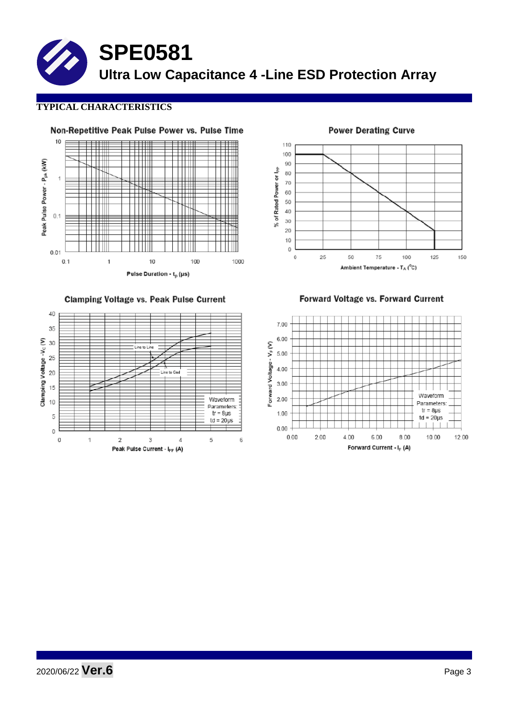**SPE0581 Ultra Low Capacitance 4 -Line ESD Protection Array**

### **TYPICAL CHARACTERISTICS**



Clamping Voltage vs. Peak Pulse Current



110 100 90 % of Rated Power or lpp 80  $70$ 60 50  $40$  $30$  $\overline{20}$  $10$  $\rm _0$ 25  $\mathbf 0$ 50 75 100 125 150 Ambient Temperature -  $T_A$  (°C)

**Power Derating Curve** 

Forward Voltage vs. Forward Current



## 2020/06/22 **Ver.6** Page <sup>3</sup>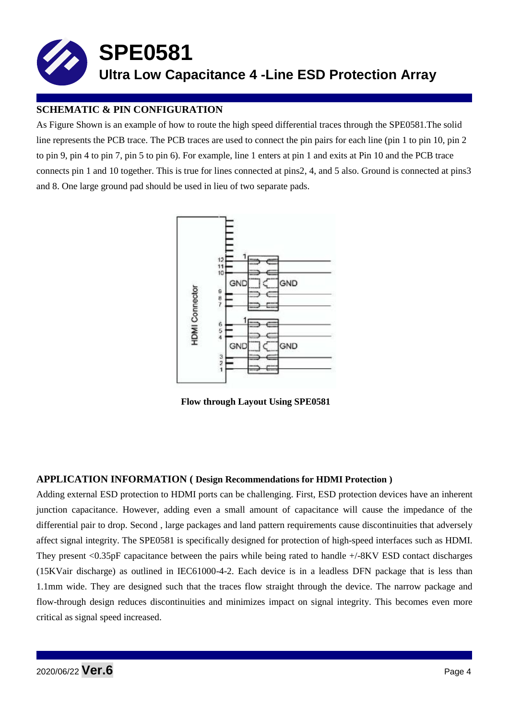

### **SCHEMATIC & PIN CONFIGURATION**

As Figure Shown is an example of how to route the high speed differential traces through the SPE0581.The solid line represents the PCB trace. The PCB traces are used to connect the pin pairs for each line (pin 1 to pin 10, pin 2 to pin 9, pin 4 to pin 7, pin 5 to pin 6). For example, line 1 enters at pin 1 and exits at Pin 10 and the PCB trace connects pin 1 and 10 together. This is true for lines connected at pins2, 4, and 5 also. Ground is connected at pins3 and 8. One large ground pad should be used in lieu of two separate pads.



**Flow through Layout Using SPE0581**

### **APPLICATION INFORMATION ( Design Recommendations for HDMI Protection )**

Adding external ESD protection to HDMI ports can be challenging. First, ESD protection devices have an inherent junction capacitance. However, adding even a small amount of capacitance will cause the impedance of the differential pair to drop. Second , large packages and land pattern requirements cause discontinuities that adversely affect signal integrity. The SPE0581 is specifically designed for protection of high-speed interfaces such as HDMI. They present <0.35pF capacitance between the pairs while being rated to handle +/-8KV ESD contact discharges (15KVair discharge) as outlined in IEC61000-4-2. Each device is in a leadless DFN package that is less than 1.1mm wide. They are designed such that the traces flow straight through the device. The narrow package and flow-through design reduces discontinuities and minimizes impact on signal integrity. This becomes even more critical as signal speed increased.